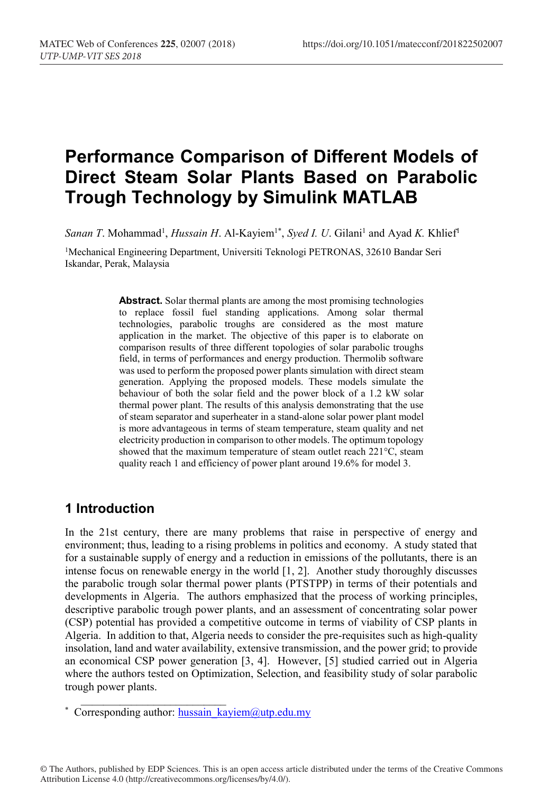# **Performance Comparison of Different Models of Direct Steam Solar Plants Based on Parabolic Trough Technology by Simulink MATLAB**

Sanan T. Mohammad<sup>1</sup>, *Hussain H.* Al-Kayiem<sup>1\*</sup>, *Syed I. U.* Gilani<sup>1</sup> and Ayad *K.* Khlief<sup>1</sup>

1Mechanical Engineering Department, Universiti Teknologi PETRONAS, 32610 Bandar Seri Iskandar, Perak, Malaysia

> **Abstract.** Solar thermal plants are among the most promising technologies to replace fossil fuel standing applications. Among solar thermal technologies, parabolic troughs are considered as the most mature application in the market. The objective of this paper is to elaborate on comparison results of three different topologies of solar parabolic troughs field, in terms of performances and energy production. Thermolib software was used to perform the proposed power plants simulation with direct steam generation. Applying the proposed models. These models simulate the behaviour of both the solar field and the power block of a 1.2 kW solar thermal power plant. The results of this analysis demonstrating that the use of steam separator and superheater in a stand-alone solar power plant model is more advantageous in terms of steam temperature, steam quality and net electricity production in comparison to other models. The optimum topology showed that the maximum temperature of steam outlet reach 221°C, steam quality reach 1 and efficiency of power plant around 19.6% for model 3.

### **1 Introduction**

In the 21st century, there are many problems that raise in perspective of energy and environment; thus, leading to a rising problems in politics and economy. A study stated that for a sustainable supply of energy and a reduction in emissions of the pollutants, there is an intense focus on renewable energy in the world [1, 2]. Another study thoroughly discusses the parabolic trough solar thermal power plants (PTSTPP) in terms of their potentials and developments in Algeria. The authors emphasized that the process of working principles, descriptive parabolic trough power plants, and an assessment of concentrating solar power (CSP) potential has provided a competitive outcome in terms of viability of CSP plants in Algeria. In addition to that, Algeria needs to consider the pre-requisites such as high-quality insolation, land and water availability, extensive transmission, and the power grid; to provide an economical CSP power generation [3, 4]. However, [5] studied carried out in Algeria where the authors tested on Optimization, Selection, and feasibility study of solar parabolic trough power plants.

\_\_\_\_\_\_\_\_\_\_\_\_\_\_\_\_\_\_\_\_\_\_\_\_\_\_

<sup>\*</sup> Corresponding author: hussain\_kayiem@utp.edu.my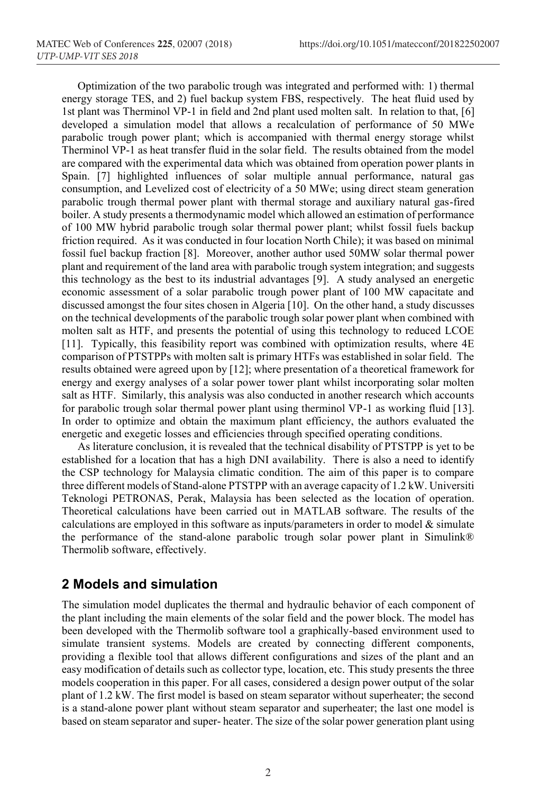Optimization of the two parabolic trough was integrated and performed with: 1) thermal energy storage TES, and 2) fuel backup system FBS, respectively. The heat fluid used by 1st plant was Therminol VP-1 in field and 2nd plant used molten salt. In relation to that, [6] developed a simulation model that allows a recalculation of performance of 50 MWe parabolic trough power plant; which is accompanied with thermal energy storage whilst Therminol VP-1 as heat transfer fluid in the solar field. The results obtained from the model are compared with the experimental data which was obtained from operation power plants in Spain. [7] highlighted influences of solar multiple annual performance, natural gas consumption, and Levelized cost of electricity of a 50 MWe; using direct steam generation parabolic trough thermal power plant with thermal storage and auxiliary natural gas-fired boiler. A study presents a thermodynamic model which allowed an estimation of performance of 100 MW hybrid parabolic trough solar thermal power plant; whilst fossil fuels backup friction required. As it was conducted in four location North Chile); it was based on minimal fossil fuel backup fraction [8]. Moreover, another author used 50MW solar thermal power plant and requirement of the land area with parabolic trough system integration; and suggests this technology as the best to its industrial advantages [9]. A study analysed an energetic economic assessment of a solar parabolic trough power plant of 100 MW capacitate and discussed amongst the four sites chosen in Algeria [10]. On the other hand, a study discusses on the technical developments of the parabolic trough solar power plant when combined with molten salt as HTF, and presents the potential of using this technology to reduced LCOE [11]. Typically, this feasibility report was combined with optimization results, where 4E comparison of PTSTPPs with molten salt is primary HTFs was established in solar field. The results obtained were agreed upon by [12]; where presentation of a theoretical framework for energy and exergy analyses of a solar power tower plant whilst incorporating solar molten salt as HTF. Similarly, this analysis was also conducted in another research which accounts for parabolic trough solar thermal power plant using therminol VP-1 as working fluid [13]. In order to optimize and obtain the maximum plant efficiency, the authors evaluated the energetic and exegetic losses and efficiencies through specified operating conditions.

As literature conclusion, it is revealed that the technical disability of PTSTPP is yet to be established for a location that has a high DNI availability. There is also a need to identify the CSP technology for Malaysia climatic condition. The aim of this paper is to compare three different models of Stand-alone PTSTPP with an average capacity of 1.2 kW. Universiti Teknologi PETRONAS, Perak, Malaysia has been selected as the location of operation. Theoretical calculations have been carried out in MATLAB software. The results of the calculations are employed in this software as inputs/parameters in order to model  $\&$  simulate the performance of the stand-alone parabolic trough solar power plant in Simulink® Thermolib software, effectively.

#### **2 Models and simulation**

The simulation model duplicates the thermal and hydraulic behavior of each component of the plant including the main elements of the solar field and the power block. The model has been developed with the Thermolib software tool a graphically-based environment used to simulate transient systems. Models are created by connecting different components, providing a flexible tool that allows different configurations and sizes of the plant and an easy modification of details such as collector type, location, etc. This study presents the three models cooperation in this paper. For all cases, considered a design power output of the solar plant of 1.2 kW. The first model is based on steam separator without superheater; the second is a stand-alone power plant without steam separator and superheater; the last one model is based on steam separator and super- heater. The size of the solar power generation plant using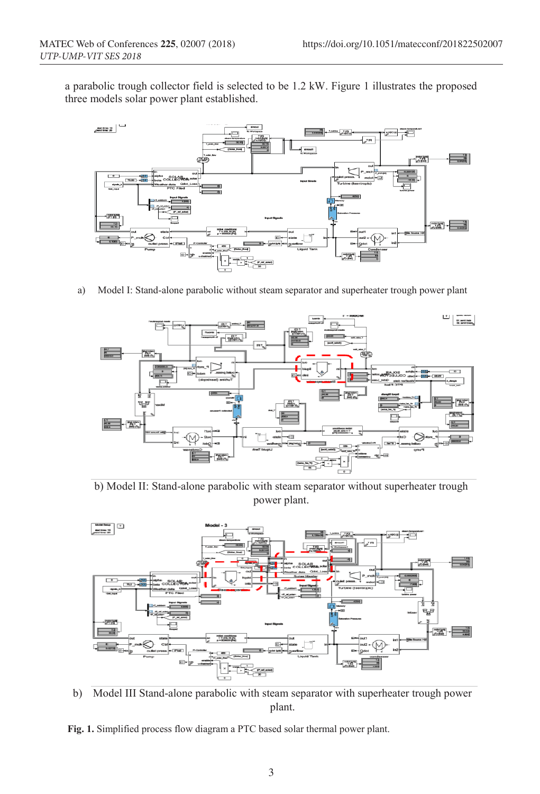a parabolic trough collector field is selected to be 1.2 kW. Figure 1 illustrates the proposed three models solar power plant established.



a) Model I: Stand-alone parabolic without steam separator and superheater trough power plant



b) Model II: Stand-alone parabolic with steam separator without superheater trough power plant.



b) Model III Stand-alone parabolic with steam separator with superheater trough power plant.

**Fig. 1.** Simplified process flow diagram a PTC based solar thermal power plant.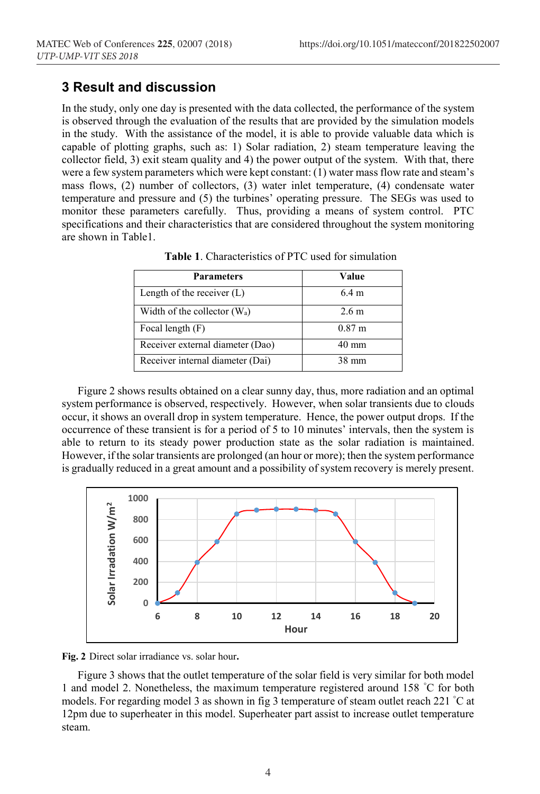#### **3 Result and discussion**

In the study, only one day is presented with the data collected, the performance of the system is observed through the evaluation of the results that are provided by the simulation models in the study. With the assistance of the model, it is able to provide valuable data which is capable of plotting graphs, such as: 1) Solar radiation, 2) steam temperature leaving the collector field, 3) exit steam quality and 4) the power output of the system. With that, there were a few system parameters which were kept constant: (1) water mass flow rate and steam's mass flows, (2) number of collectors, (3) water inlet temperature, (4) condensate water temperature and pressure and (5) the turbines' operating pressure. The SEGs was used to monitor these parameters carefully. Thus, providing a means of system control. PTC specifications and their characteristics that are considered throughout the system monitoring are shown in Table1.

| <b>Parameters</b>                | Value             |
|----------------------------------|-------------------|
| Length of the receiver $(L)$     | $6.4 \text{ m}$   |
| Width of the collector $(W_a)$   | 2.6 <sub>m</sub>  |
| Focal length (F)                 | 0.87 <sub>m</sub> |
| Receiver external diameter (Dao) | $40 \text{ mm}$   |
| Receiver internal diameter (Dai) | $38 \text{ mm}$   |

**Table 1**. Characteristics of PTC used for simulation

Figure 2 shows results obtained on a clear sunny day, thus, more radiation and an optimal system performance is observed, respectively. However, when solar transients due to clouds occur, it shows an overall drop in system temperature. Hence, the power output drops. If the occurrence of these transient is for a period of 5 to 10 minutes' intervals, then the system is able to return to its steady power production state as the solar radiation is maintained. However, if the solar transients are prolonged (an hour or more); then the system performance is gradually reduced in a great amount and a possibility of system recovery is merely present.



**Fig. 2** Direct solar irradiance vs. solar hour**.**

Figure 3 shows that the outlet temperature of the solar field is very similar for both model 1 and model 2. Nonetheless, the maximum temperature registered around 158 ° C for both models. For regarding model 3 as shown in fig 3 temperature of steam outlet reach 221 °C at 12pm due to superheater in this model. Superheater part assist to increase outlet temperature steam.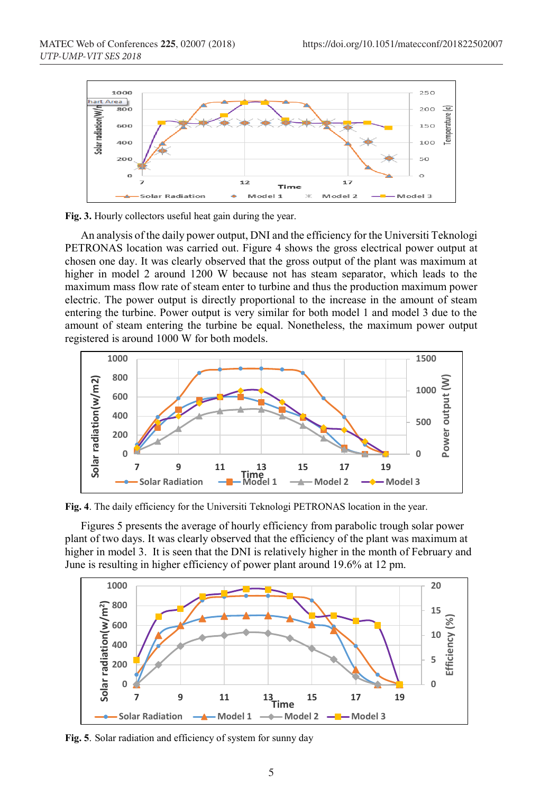



An analysis of the daily power output, DNI and the efficiency for the Universiti Teknologi PETRONAS location was carried out. Figure 4 shows the gross electrical power output at chosen one day. It was clearly observed that the gross output of the plant was maximum at higher in model 2 around 1200 W because not has steam separator, which leads to the maximum mass flow rate of steam enter to turbine and thus the production maximum power electric. The power output is directly proportional to the increase in the amount of steam entering the turbine. Power output is very similar for both model 1 and model 3 due to the amount of steam entering the turbine be equal. Nonetheless, the maximum power output registered is around 1000 W for both models.



**Fig. 4**. The daily efficiency for the Universiti Teknologi PETRONAS location in the year.

Figures 5 presents the average of hourly efficiency from parabolic trough solar power plant of two days. It was clearly observed that the efficiency of the plant was maximum at higher in model 3. It is seen that the DNI is relatively higher in the month of February and June is resulting in higher efficiency of power plant around 19.6% at 12 pm.



**Fig. 5**. Solar radiation and efficiency of system for sunny day